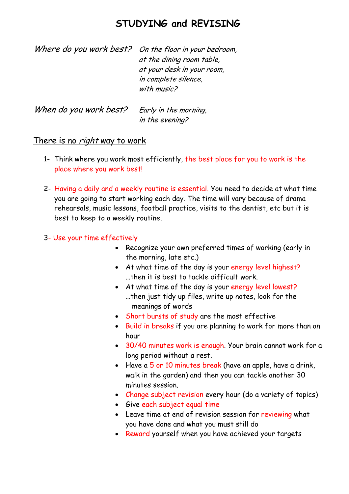# **STUDYING and REVISING**

| Where do you work best? On the floor in your bedroom, |
|-------------------------------------------------------|
| at the dining room table,                             |
| at your desk in your room,                            |
| in complete silence,                                  |
| with music?                                           |
|                                                       |

When do you work best? Early in the morning, in the evening?

### There is no *right* way to work

- 1- Think where you work most efficiently, the best place for you to work is the place where you work best!
- 2- Having a daily and a weekly routine is essential. You need to decide at what time you are going to start working each day. The time will vary because of drama rehearsals, music lessons, football practice, visits to the dentist, etc but it is best to keep to a weekly routine.
- 3- Use your time effectively
	- Recognize your own preferred times of working (early in the morning, late etc.)
	- At what time of the day is your energy level highest? …then it is best to tackle difficult work.
	- At what time of the day is your energy level lowest? …then just tidy up files, write up notes, look for the meanings of words
	- Short bursts of study are the most effective
	- Build in breaks if you are planning to work for more than an hour
	- 30/40 minutes work is enough. Your brain cannot work for a long period without a rest.
	- Have a 5 or 10 minutes break (have an apple, have a drink, walk in the garden) and then you can tackle another 30 minutes session.
	- Change subject revision every hour (do a variety of topics)
	- Give each subject equal time
	- Leave time at end of revision session for reviewing what you have done and what you must still do
	- Reward yourself when you have achieved your targets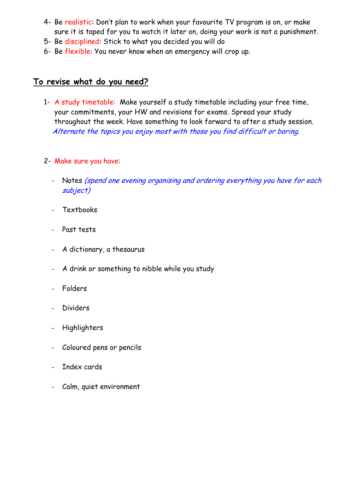- 4- Be realistic: Don't plan to work when your favourite TV program is on, or make sure it is taped for you to watch it later on, doing your work is not a punishment.
- 5- Be disciplined: Stick to what you decided you will do
- 6- Be flexible: You never know when an emergency will crop up.

# **To revise what do you need?**

- 1- A study timetable: Make yourself a study timetable including your free time, your commitments, your HW and revisions for exams. Spread your study throughout the week. Have something to look forward to after a study session. Alternate the topics you enjoy most with those you find difficult or boring.
- 2- Make sure you have:
	- Notes (spend one evening organising and ordering everything you have for each subject)
	- **Textbooks**
	- Past tests
	- A dictionary, a thesaurus
	- A drink or something to nibble while you study
	- Folders
	- **Dividers**
	- **Highlighters**
	- Coloured pens or pencils
	- Index cards
	- Calm, quiet environment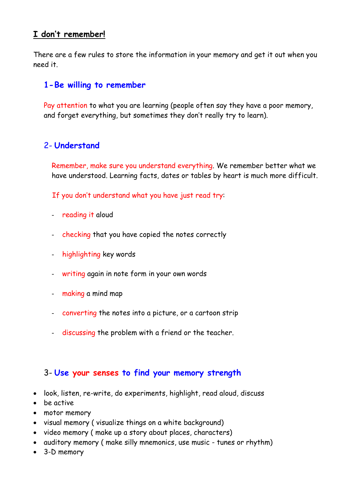# **I don't remember!**

There are a few rules to store the information in your memory and get it out when you need it.

# **1- Be willing to remember**

Pay attention to what you are learning (people often say they have a poor memory, and forget everything, but sometimes they don't really try to learn).

# 2- **Understand**

Remember, make sure you understand everything. We remember better what we have understood. Learning facts, dates or tables by heart is much more difficult.

If you don't understand what you have just read try:

- reading it aloud
- checking that you have copied the notes correctly
- highlighting key words
- writing again in note form in your own words
- making a mind map
- converting the notes into a picture, or a cartoon strip
- discussing the problem with a friend or the teacher.

## 3- **Use your senses to find your memory strength**

- look, listen, re-write, do experiments, highlight, read aloud, discuss
- be active
- motor memory
- visual memory ( visualize things on a white background)
- video memory ( make up a story about places, characters)
- auditory memory ( make silly mnemonics, use music tunes or rhythm)
- 3-D memory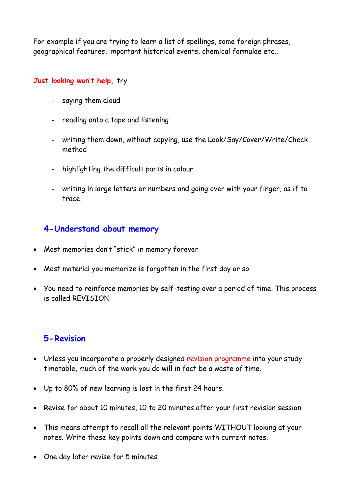For example if you are trying to learn a list of spellings, some foreign phrases, geographical features, important historical events, chemical formulae etc..

### **Just looking won't help,** try

- saying them aloud
- reading onto a tape and listening
- writing them down, without copying, use the Look/Say/Cover/Write/Check method
- highlighting the difficult parts in colour
- writing in large letters or numbers and going over with your finger, as if to trace.

# **4- Understand about memory**

- Most memories don't "stick" in memory forever
- Most material you memorize is forgotten in the first day or so.
- You need to reinforce memories by self-testing over a period of time. This process is called REVISION

# **5- Revision**

- Unless you incorporate a properly designed revision programme into your study timetable, much of the work you do will in fact be a waste of time.
- Up to 80% of new learning is lost in the first 24 hours.
- Revise for about 10 minutes, 10 to 20 minutes after your first revision session
- This means attempt to recall all the relevant points WITHOUT looking at your notes. Write these key points down and compare with current notes.
- One day later revise for 5 minutes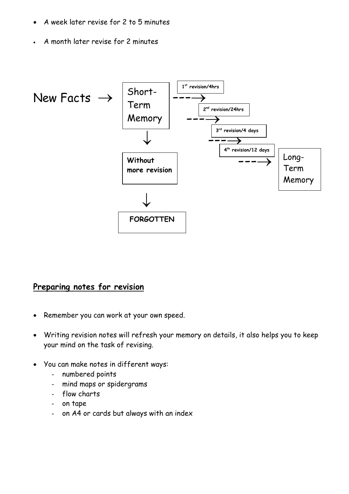- A week later revise for 2 to 5 minutes
- A month later revise for 2 minutes



## **Preparing notes for revision**

- Remember you can work at your own speed.
- Writing revision notes will refresh your memory on details, it also helps you to keep your mind on the task of revising.
- You can make notes in different ways:
	- numbered points
	- mind maps or spidergrams
	- flow charts
	- on tape
	- on A4 or cards but always with an index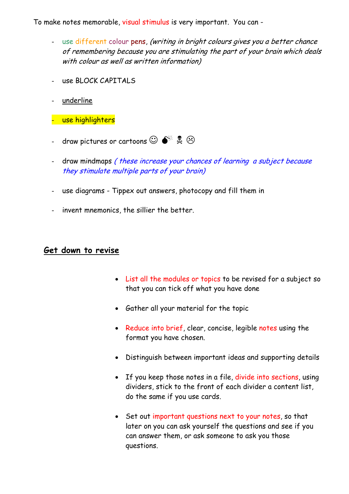To make notes memorable, visual stimulus is very important. You can -

- use different colour pens, (writing in bright colours gives you a better chance of remembering because you are stimulating the part of your brain which deals with colour as well as written information)
- use BLOCK CAPITALS
- underline
- use highlighters
- draw pictures or cartoons  $\mathbb{O} \bullet^{\mathbb{X}}$  ,  $\mathbb{R}$   $\odot$
- draw mindmaps (these increase your chances of learning a subject because they stimulate multiple parts of your brain)
- use diagrams Tippex out answers, photocopy and fill them in
- invent mnemonics, the sillier the better.

#### **Get down to revise**

- List all the modules or topics to be revised for a subject so that you can tick off what you have done
- Gather all your material for the topic
- Reduce into brief, clear, concise, legible notes using the format you have chosen.
- Distinguish between important ideas and supporting details
- If you keep those notes in a file, divide into sections, using dividers, stick to the front of each divider a content list, do the same if you use cards.
- Set out important questions next to your notes, so that later on you can ask yourself the questions and see if you can answer them, or ask someone to ask you those questions.